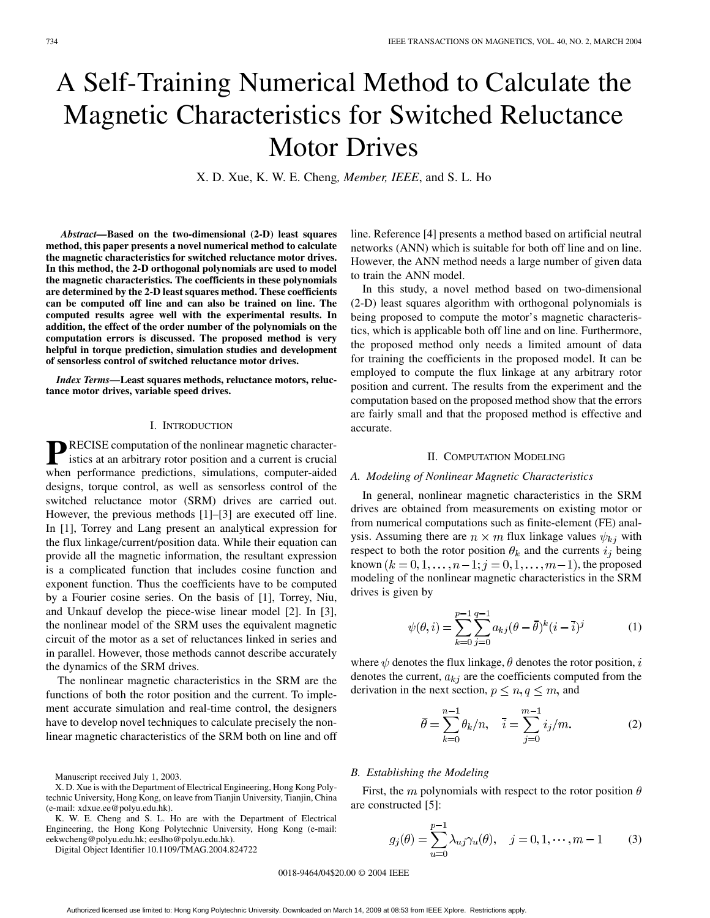# A Self-Training Numerical Method to Calculate the Magnetic Characteristics for Switched Reluctance Motor Drives

X. D. Xue, K. W. E. Cheng*, Member, IEEE*, and S. L. Ho

*Abstract—***Based on the two-dimensional (2-D) least squares method, this paper presents a novel numerical method to calculate the magnetic characteristics for switched reluctance motor drives. In this method, the 2-D orthogonal polynomials are used to model the magnetic characteristics. The coefficients in these polynomials are determined by the 2-D least squares method. These coefficients can be computed off line and can also be trained on line. The computed results agree well with the experimental results. In addition, the effect of the order number of the polynomials on the computation errors is discussed. The proposed method is very helpful in torque prediction, simulation studies and development of sensorless control of switched reluctance motor drives.**

*Index Terms—***Least squares methods, reluctance motors, reluctance motor drives, variable speed drives.**

### I. INTRODUCTION

**P**RECISE computation of the nonlinear magnetic character-<br>istics at an arbitrary reference: istics at an arbitrary rotor position and a current is crucial when performance predictions, simulations, computer-aided designs, torque control, as well as sensorless control of the switched reluctance motor (SRM) drives are carried out. However, the previous methods [\[1](#page-3-0)]–[[3\]](#page-3-0) are executed off line. In [\[1](#page-3-0)], Torrey and Lang present an analytical expression for the flux linkage/current/position data. While their equation can provide all the magnetic information, the resultant expression is a complicated function that includes cosine function and exponent function. Thus the coefficients have to be computed by a Fourier cosine series. On the basis of [\[1](#page-3-0)], Torrey, Niu, and Unkauf develop the piece-wise linear model [\[2](#page-3-0)]. In [[3\]](#page-3-0), the nonlinear model of the SRM uses the equivalent magnetic circuit of the motor as a set of reluctances linked in series and in parallel. However, those methods cannot describe accurately the dynamics of the SRM drives.

The nonlinear magnetic characteristics in the SRM are the functions of both the rotor position and the current. To implement accurate simulation and real-time control, the designers have to develop novel techniques to calculate precisely the nonlinear magnetic characteristics of the SRM both on line and off

K. W. E. Cheng and S. L. Ho are with the Department of Electrical Engineering, the Hong Kong Polytechnic University, Hong Kong (e-mail: eekwcheng@polyu.edu.hk; eeslho@polyu.edu.hk).

Digital Object Identifier 10.1109/TMAG.2004.824722

line. Reference [\[4](#page-3-0)] presents a method based on artificial neutral networks (ANN) which is suitable for both off line and on line. However, the ANN method needs a large number of given data to train the ANN model.

In this study, a novel method based on two-dimensional (2-D) least squares algorithm with orthogonal polynomials is being proposed to compute the motor's magnetic characteristics, which is applicable both off line and on line. Furthermore, the proposed method only needs a limited amount of data for training the coefficients in the proposed model. It can be employed to compute the flux linkage at any arbitrary rotor position and current. The results from the experiment and the computation based on the proposed method show that the errors are fairly small and that the proposed method is effective and accurate.

#### II. COMPUTATION MODELING

## *A. Modeling of Nonlinear Magnetic Characteristics*

In general, nonlinear magnetic characteristics in the SRM drives are obtained from measurements on existing motor or from numerical computations such as finite-element (FE) analysis. Assuming there are  $n \times m$  flux linkage values  $\psi_{kj}$  with respect to both the rotor position  $\theta_k$  and the currents  $i_j$  being known  $(k = 0, 1, \ldots, n-1; j = 0, 1, \ldots, m-1)$ , the proposed modeling of the nonlinear magnetic characteristics in the SRM drives is given by

$$
\psi(\theta, i) = \sum_{k=0}^{p-1} \sum_{j=0}^{q-1} a_{kj} (\theta - \bar{\theta})^k (i - \bar{i})^j
$$
(1)

where  $\psi$  denotes the flux linkage,  $\theta$  denotes the rotor position, i denotes the current,  $a_{kj}$  are the coefficients computed from the derivation in the next section,  $p \le n, q \le m$ , and

$$
\bar{\theta} = \sum_{k=0}^{n-1} \theta_k / n, \quad \bar{i} = \sum_{j=0}^{m-1} i_j / m. \tag{2}
$$

#### *B. Establishing the Modeling*

First, the m polynomials with respect to the rotor position  $\theta$ are constructed [[5\]](#page-3-0):

$$
g_j(\theta) = \sum_{u=0}^{p-1} \lambda_{uj} \gamma_u(\theta), \quad j = 0, 1, \dots, m-1
$$
 (3)

0018-9464/04\$20.00 © 2004 IEEE

Manuscript received July 1, 2003.

X. D. Xue is with the Department of Electrical Engineering, Hong Kong Polytechnic University, Hong Kong, on leave from Tianjin University, Tianjin, China (e-mail: xdxue.ee@polyu.edu.hk).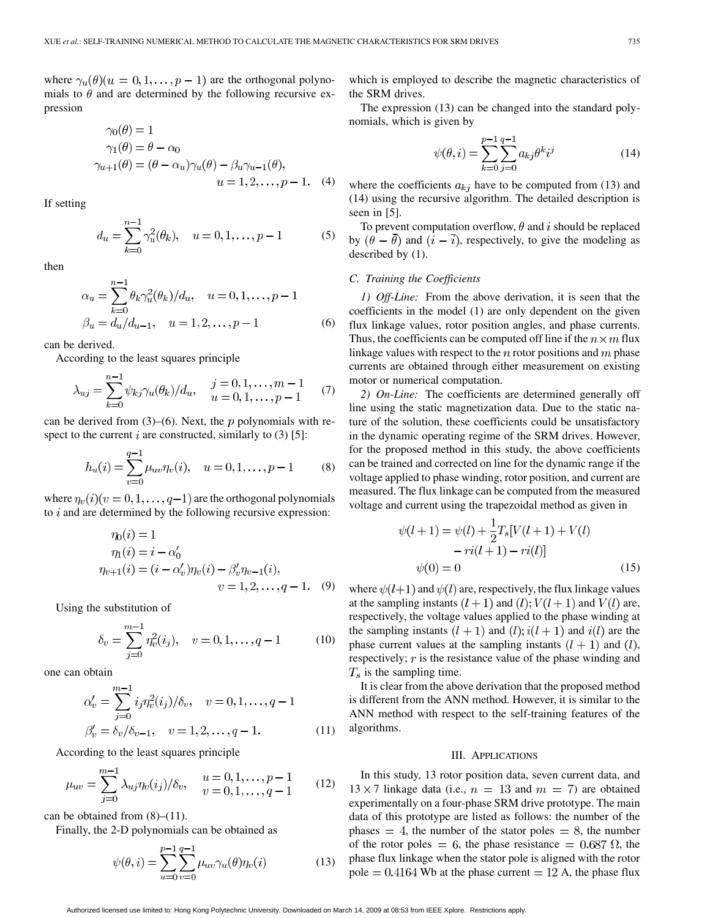where  $\gamma_u(\theta)(u=0,1,\ldots,p-1)$  are the orthogonal polynomials to  $\theta$  and are determined by the following recursive expression

$$
\gamma_0(\theta) = 1
$$
  
\n
$$
\gamma_1(\theta) = \theta - \alpha_0
$$
  
\n
$$
\gamma_{u+1}(\theta) = (\theta - \alpha_u)\gamma_u(\theta) - \beta_u\gamma_{u-1}(\theta),
$$
  
\n
$$
u = 1, 2, ..., p - 1.
$$
 (4)

If setting

$$
d_u = \sum_{k=0}^{n-1} \gamma_u^2(\theta_k), \quad u = 0, 1, \dots, p-1 \tag{5}
$$

then

$$
\alpha_u = \sum_{k=0}^{n-1} \theta_k \gamma_u^2(\theta_k) / d_u, \quad u = 0, 1, \dots, p-1
$$
  

$$
\beta_u = d_u / d_{u-1}, \quad u = 1, 2, \dots, p-1
$$
 (6)

can be derived.

According to the least squares principle

$$
\lambda_{uj} = \sum_{k=0}^{n-1} \psi_{kj} \gamma_u(\theta_k) / d_u, \quad \begin{array}{l} j = 0, 1, \dots, m-1 \\ u = 0, 1, \dots, p-1 \end{array} \tag{7}
$$

can be derived from  $(3)$ – $(6)$ . Next, the p polynomials with respect to the current  $i$  are constructed, similarly to (3) [\[5](#page-3-0)]:

$$
h_u(i) = \sum_{v=0}^{q-1} \mu_{uv} \eta_v(i), \quad u = 0, 1, \dots, p-1 \tag{8}
$$

where  $\eta_v(i)(v=0,1,\ldots,q-1)$  are the orthogonal polynomials to  $i$  and are determined by the following recursive expression:

$$
\eta_0(i) = 1
$$
  
\n
$$
\eta_1(i) = i - \alpha'_0
$$
  
\n
$$
\eta_{v+1}(i) = (i - \alpha'_v)\eta_v(i) - \beta'_v\eta_{v-1}(i),
$$
  
\n
$$
v = 1, 2, ..., q - 1.
$$
 (9)

Using the substitution of

$$
\delta_v = \sum_{j=0}^{m-1} \eta_v^2(i_j), \quad v = 0, 1, \dots, q-1 \tag{10}
$$

one can obtain

$$
\alpha'_{v} = \sum_{j=0}^{m-1} i_{j} \eta_{v}^{2}(i_{j}) / \delta_{v}, \quad v = 0, 1, ..., q - 1
$$
  

$$
\beta'_{v} = \delta_{v} / \delta_{v-1}, \quad v = 1, 2, ..., q - 1.
$$
 (11)

According to the least squares principle

$$
\mu_{uv} = \sum_{j=0}^{m-1} \lambda_{uj} \eta_v(i_j) / \delta_v, \quad \begin{array}{l} u = 0, 1, \dots, p-1 \\ v = 0, 1, \dots, q-1 \end{array} \tag{12}
$$

can be obtained from  $(8)$ – $(11)$ .

Finally, the 2-D polynomials can be obtained as

$$
\psi(\theta, i) = \sum_{u=0}^{p-1} \sum_{v=0}^{q-1} \mu_{uv} \gamma_u(\theta) \eta_v(i)
$$
 (13)

which is employed to describe the magnetic characteristics of the SRM drives.

The expression (13) can be changed into the standard polynomials, which is given by

$$
\psi(\theta, i) = \sum_{k=0}^{p-1} \sum_{j=0}^{q-1} a_{kj} \theta^k i^j
$$
\n(14)

where the coefficients  $a_{kj}$  have to be computed from (13) and (14) using the recursive algorithm. The detailed description is seen in [[5\]](#page-3-0).

To prevent computation overflow,  $\theta$  and i should be replaced by  $(\theta - \theta)$  and  $(i - \overline{i})$ , respectively, to give the modeling as described by (1).

## *C. Training the Coefficients*

*1) Off-Line:* From the above derivation, it is seen that the coefficients in the model (1) are only dependent on the given flux linkage values, rotor position angles, and phase currents. Thus, the coefficients can be computed off line if the  $n \times m$  flux linkage values with respect to the  $n$  rotor positions and  $m$  phase currents are obtained through either measurement on existing motor or numerical computation.

*2) On-Line:* The coefficients are determined generally off line using the static magnetization data. Due to the static nature of the solution, these coefficients could be unsatisfactory in the dynamic operating regime of the SRM drives. However, for the proposed method in this study, the above coefficients can be trained and corrected on line for the dynamic range if the voltage applied to phase winding, rotor position, and current are measured. The flux linkage can be computed from the measured voltage and current using the trapezoidal method as given in

$$
\psi(l+1) = \psi(l) + \frac{1}{2}T_s[V(l+1) + V(l) - ri(l+1) - ri(l)]
$$
  

$$
\psi(0) = 0 \tag{15}
$$

where  $\psi(l+1)$  and  $\psi(l)$  are, respectively, the flux linkage values at the sampling instants  $(l + 1)$  and  $(l)$ ;  $V(l + 1)$  and  $V(l)$  are, respectively, the voltage values applied to the phase winding at the sampling instants  $(l + 1)$  and  $(l)$ ;  $i(l + 1)$  and  $i(l)$  are the phase current values at the sampling instants  $(l + 1)$  and  $(l)$ , respectively;  $r$  is the resistance value of the phase winding and  $T<sub>s</sub>$  is the sampling time.

It is clear from the above derivation that the proposed method is different from the ANN method. However, it is similar to the ANN method with respect to the self-training features of the algorithms.

#### III. APPLICATIONS

In this study, 13 rotor position data, seven current data, and  $13 \times 7$  linkage data (i.e.,  $n = 13$  and  $m = 7$ ) are obtained experimentally on a four-phase SRM drive prototype. The main data of this prototype are listed as follows: the number of the phases  $= 4$ , the number of the stator poles  $= 8$ , the number of the rotor poles  $= 6$ , the phase resistance  $= 0.687 \Omega$ , the phase flux linkage when the stator pole is aligned with the rotor pole =  $0.4164$  Wb at the phase current =  $12$  A, the phase flux

Authorized licensed use limited to: Hong Kong Polytechnic University. Downloaded on March 14, 2009 at 08:53 from IEEE Xplore. Restrictions apply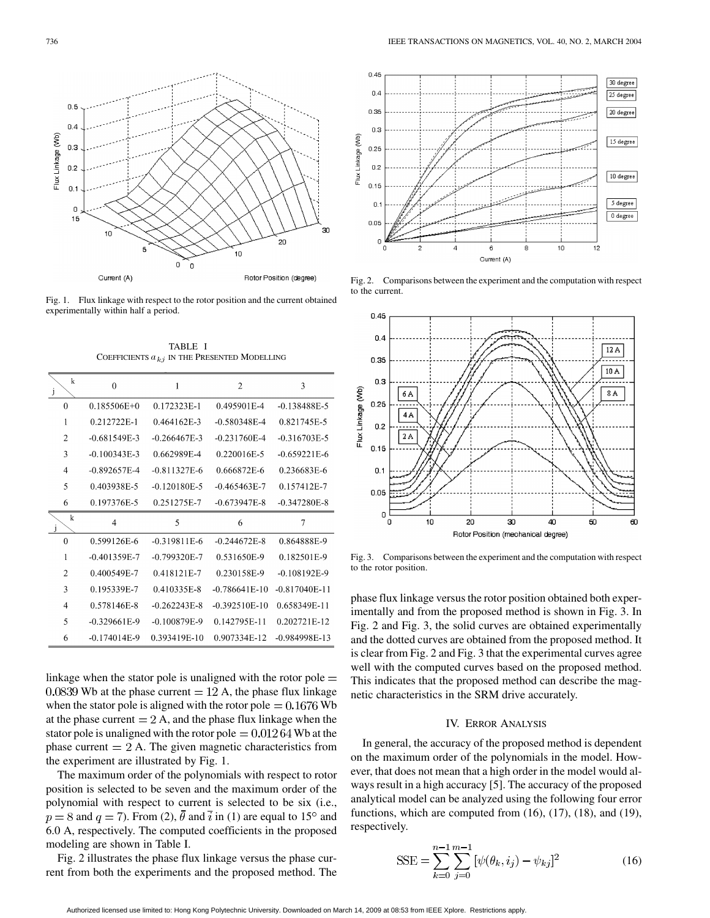

Fig. 1. Flux linkage with respect to the rotor position and the current obtained experimentally within half a period.

TABLE I COEFFICIENTS  $a_{kj}$  IN THE PRESENTED MODELLING

| $\bf k$<br>$\mathbf{J}$ | $\Omega$         | 1                | $\overline{2}$   | 3                |
|-------------------------|------------------|------------------|------------------|------------------|
| $\theta$                | $0.185506E+0$    | 0.172323E-1      | 0.495901E-4      | $-0.138488E - 5$ |
| 1                       | 0.212722E-1      | 0.464162E-3      | $-0.580348E - 4$ | 0.821745E-5      |
| $\overline{c}$          | $-0.681549E-3$   | $-0.266467F-3$   | -0.231760E-4     | $-0.316703E - 5$ |
| 3                       | $-0.100343E-3$   | 0.662989E-4      | 0.220016E-5      | $-0.659221E-6$   |
| 4                       | $-0.892657E-4$   | $-0.811327E-6$   | 0.666872E-6      | 0.236683E-6      |
| 5                       | 0.403938E-5      | $-0.120180E - 5$ | $-0.465463E-7$   | 0.157412E-7      |
| 6                       | 0.197376E-5      | 0.251275E-7      | $-0.673947E-8$   | $-0.347280E - 8$ |
| $\mathbf{k}$            | $\overline{4}$   | 5                | 6                | $\tau$           |
| $\theta$                | 0.599126E-6      | $-0.319811E-6$   | $-0.244672E - 8$ | 0.864888E-9      |
| 1                       | $-0.401359E - 7$ | $-0.799320E - 7$ | 0.531650E-9      | 0.182501E-9      |
| $\overline{c}$          | 0.400549E-7      | 0.418121E-7      | 0.230158E-9      | $-0.108192E-9$   |
| 3                       | 0.195339E-7      | 0.410335E-8      | -0.786641E-10    | $-0.817040E-11$  |
| 4                       | 0.578146E-8      | $-0.262243E - 8$ | $-0.392510E-10$  | 0.658349E-11     |
| 5                       | $-0.329661E-9$   | $-0.100879E-9$   | 0.142795E-11     | 0.202721E-12     |
| 6                       | $-0.174014E-9$   | 0.393419E-10     | 0.907334E-12     | $-0.984998E-13$  |

linkage when the stator pole is unaligned with the rotor pole  $=$  $0.0839$  Wb at the phase current  $= 12$  A, the phase flux linkage when the stator pole is aligned with the rotor pole  $= 0.1676$  Wb at the phase current  $= 2$  A, and the phase flux linkage when the stator pole is unaligned with the rotor pole  $= 0.01264$  Wb at the phase current  $= 2$  A. The given magnetic characteristics from the experiment are illustrated by Fig. 1.

The maximum order of the polynomials with respect to rotor position is selected to be seven and the maximum order of the polynomial with respect to current is selected to be six (i.e.,  $p = 8$  and  $q = 7$ ). From (2),  $\theta$  and  $\overline{i}$  in (1) are equal to 15<sup>°</sup> and 6.0 A, respectively. The computed coefficients in the proposed modeling are shown in Table I.

Fig. 2 illustrates the phase flux linkage versus the phase current from both the experiments and the proposed method. The



Fig. 2. Comparisons between the experiment and the computation with respect to the current.



Fig. 3. Comparisons between the experiment and the computation with respect to the rotor position.

phase flux linkage versus the rotor position obtained both experimentally and from the proposed method is shown in Fig. 3. In Fig. 2 and Fig. 3, the solid curves are obtained experimentally and the dotted curves are obtained from the proposed method. It is clear from Fig. 2 and Fig. 3 that the experimental curves agree well with the computed curves based on the proposed method. This indicates that the proposed method can describe the magnetic characteristics in the SRM drive accurately.

## IV. ERROR ANALYSIS

In general, the accuracy of the proposed method is dependent on the maximum order of the polynomials in the model. However, that does not mean that a high order in the model would always result in a high accuracy [\[5](#page-3-0)]. The accuracy of the proposed analytical model can be analyzed using the following four error functions, which are computed from (16), (17), (18), and (19), respectively.

$$
SSE = \sum_{k=0}^{n-1} \sum_{j=0}^{m-1} [\psi(\theta_k, i_j) - \psi_{kj}]^2
$$
 (16)